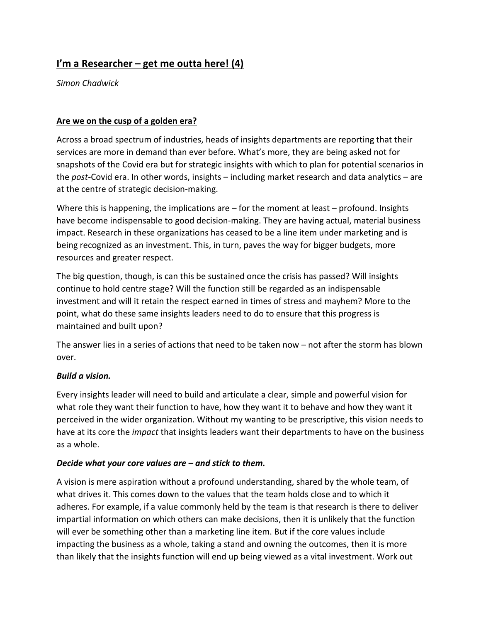# **I'm a Researcher – get me outta here! (4)**

*Simon Chadwick*

### **Are we on the cusp of a golden era?**

Across a broad spectrum of industries, heads of insights departments are reporting that their services are more in demand than ever before. What's more, they are being asked not for snapshots of the Covid era but for strategic insights with which to plan for potential scenarios in the *post-*Covid era. In other words, insights – including market research and data analytics – are at the centre of strategic decision-making.

Where this is happening, the implications are  $-$  for the moment at least  $-$  profound. Insights have become indispensable to good decision-making. They are having actual, material business impact. Research in these organizations has ceased to be a line item under marketing and is being recognized as an investment. This, in turn, paves the way for bigger budgets, more resources and greater respect.

The big question, though, is can this be sustained once the crisis has passed? Will insights continue to hold centre stage? Will the function still be regarded as an indispensable investment and will it retain the respect earned in times of stress and mayhem? More to the point, what do these same insights leaders need to do to ensure that this progress is maintained and built upon?

The answer lies in a series of actions that need to be taken now – not after the storm has blown over.

#### *Build a vision.*

Every insights leader will need to build and articulate a clear, simple and powerful vision for what role they want their function to have, how they want it to behave and how they want it perceived in the wider organization. Without my wanting to be prescriptive, this vision needs to have at its core the *impact* that insights leaders want their departments to have on the business as a whole.

#### *Decide what your core values are – and stick to them.*

A vision is mere aspiration without a profound understanding, shared by the whole team, of what drives it. This comes down to the values that the team holds close and to which it adheres. For example, if a value commonly held by the team is that research is there to deliver impartial information on which others can make decisions, then it is unlikely that the function will ever be something other than a marketing line item. But if the core values include impacting the business as a whole, taking a stand and owning the outcomes, then it is more than likely that the insights function will end up being viewed as a vital investment. Work out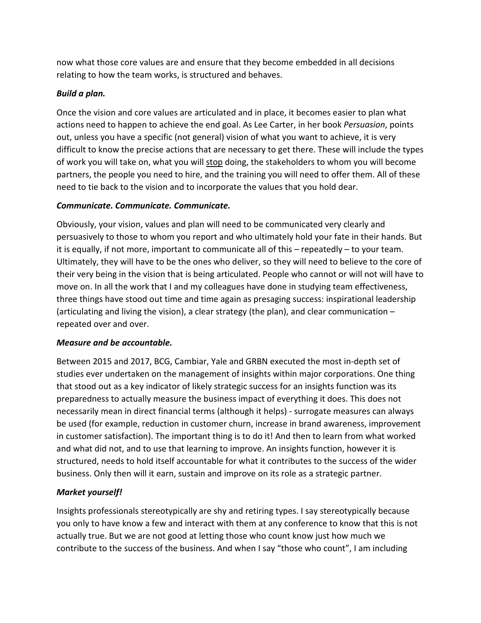now what those core values are and ensure that they become embedded in all decisions relating to how the team works, is structured and behaves.

# *Build a plan.*

Once the vision and core values are articulated and in place, it becomes easier to plan what actions need to happen to achieve the end goal. As Lee Carter, in her book *Persuasion*, points out, unless you have a specific (not general) vision of what you want to achieve, it is very difficult to know the precise actions that are necessary to get there. These will include the types of work you will take on, what you will stop doing, the stakeholders to whom you will become partners, the people you need to hire, and the training you will need to offer them. All of these need to tie back to the vision and to incorporate the values that you hold dear.

# *Communicate. Communicate. Communicate.*

Obviously, your vision, values and plan will need to be communicated very clearly and persuasively to those to whom you report and who ultimately hold your fate in their hands. But it is equally, if not more, important to communicate all of this – repeatedly – to your team. Ultimately, they will have to be the ones who deliver, so they will need to believe to the core of their very being in the vision that is being articulated. People who cannot or will not will have to move on. In all the work that I and my colleagues have done in studying team effectiveness, three things have stood out time and time again as presaging success: inspirational leadership (articulating and living the vision), a clear strategy (the plan), and clear communication – repeated over and over.

#### *Measure and be accountable.*

Between 2015 and 2017, BCG, Cambiar, Yale and GRBN executed the most in-depth set of studies ever undertaken on the management of insights within major corporations. One thing that stood out as a key indicator of likely strategic success for an insights function was its preparedness to actually measure the business impact of everything it does. This does not necessarily mean in direct financial terms (although it helps) - surrogate measures can always be used (for example, reduction in customer churn, increase in brand awareness, improvement in customer satisfaction). The important thing is to do it! And then to learn from what worked and what did not, and to use that learning to improve. An insights function, however it is structured, needs to hold itself accountable for what it contributes to the success of the wider business. Only then will it earn, sustain and improve on its role as a strategic partner.

# *Market yourself!*

Insights professionals stereotypically are shy and retiring types. I say stereotypically because you only to have know a few and interact with them at any conference to know that this is not actually true. But we are not good at letting those who count know just how much we contribute to the success of the business. And when I say "those who count", I am including